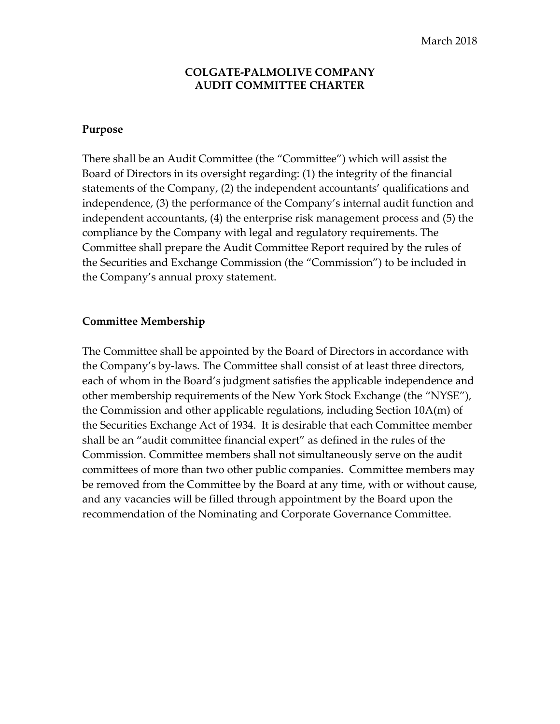### **COLGATE‐PALMOLIVE COMPANY AUDIT COMMITTEE CHARTER**

#### **Purpose**

There shall be an Audit Committee (the "Committee") which will assist the Board of Directors in its oversight regarding: (1) the integrity of the financial statements of the Company, (2) the independent accountants' qualifications and independence, (3) the performance of the Company's internal audit function and independent accountants, (4) the enterprise risk management process and (5) the compliance by the Company with legal and regulatory requirements. The Committee shall prepare the Audit Committee Report required by the rules of the Securities and Exchange Commission (the "Commission") to be included in the Company's annual proxy statement.

#### **Committee Membership**

The Committee shall be appointed by the Board of Directors in accordance with the Company's by‐laws. The Committee shall consist of at least three directors, each of whom in the Board's judgment satisfies the applicable independence and other membership requirements of the New York Stock Exchange (the "NYSE"), the Commission and other applicable regulations, including Section 10A(m) of the Securities Exchange Act of 1934. It is desirable that each Committee member shall be an "audit committee financial expert" as defined in the rules of the Commission. Committee members shall not simultaneously serve on the audit committees of more than two other public companies. Committee members may be removed from the Committee by the Board at any time, with or without cause, and any vacancies will be filled through appointment by the Board upon the recommendation of the Nominating and Corporate Governance Committee.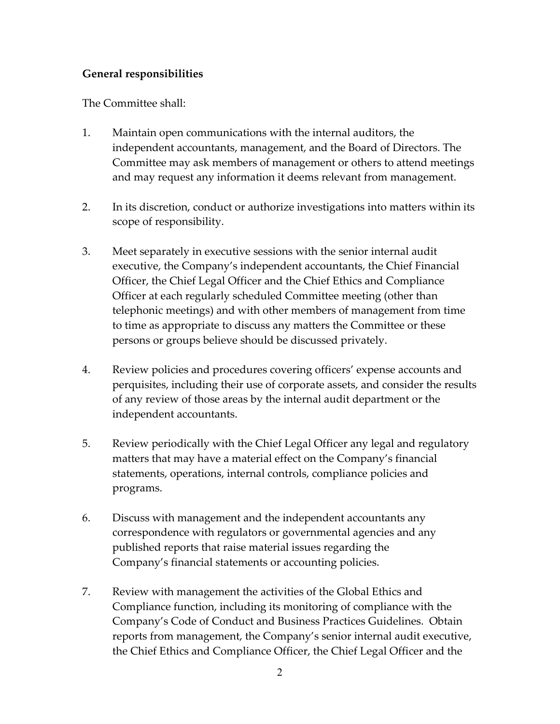## **General responsibilities**

The Committee shall:

- 1. Maintain open communications with the internal auditors, the independent accountants, management, and the Board of Directors. The Committee may ask members of management or others to attend meetings and may request any information it deems relevant from management.
- 2. In its discretion, conduct or authorize investigations into matters within its scope of responsibility.
- 3. Meet separately in executive sessions with the senior internal audit executive, the Company's independent accountants, the Chief Financial Officer, the Chief Legal Officer and the Chief Ethics and Compliance Officer at each regularly scheduled Committee meeting (other than telephonic meetings) and with other members of management from time to time as appropriate to discuss any matters the Committee or these persons or groups believe should be discussed privately.
- 4. Review policies and procedures covering officers' expense accounts and perquisites, including their use of corporate assets, and consider the results of any review of those areas by the internal audit department or the independent accountants.
- 5. Review periodically with the Chief Legal Officer any legal and regulatory matters that may have a material effect on the Company's financial statements, operations, internal controls, compliance policies and programs.
- 6. Discuss with management and the independent accountants any correspondence with regulators or governmental agencies and any published reports that raise material issues regarding the Company's financial statements or accounting policies.
- 7. Review with management the activities of the Global Ethics and Compliance function, including its monitoring of compliance with the Company's Code of Conduct and Business Practices Guidelines. Obtain reports from management, the Company's senior internal audit executive, the Chief Ethics and Compliance Officer, the Chief Legal Officer and the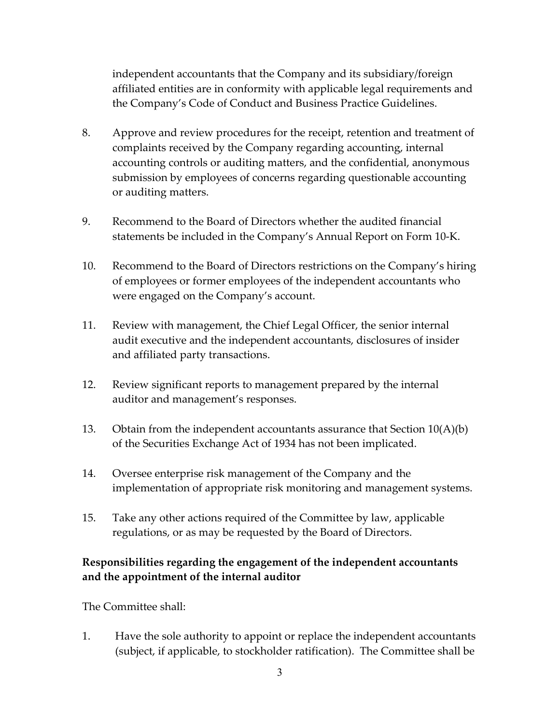independent accountants that the Company and its subsidiary/foreign affiliated entities are in conformity with applicable legal requirements and the Company's Code of Conduct and Business Practice Guidelines.

- 8. Approve and review procedures for the receipt, retention and treatment of complaints received by the Company regarding accounting, internal accounting controls or auditing matters, and the confidential, anonymous submission by employees of concerns regarding questionable accounting or auditing matters.
- 9. Recommend to the Board of Directors whether the audited financial statements be included in the Company's Annual Report on Form 10‐K.
- 10. Recommend to the Board of Directors restrictions on the Company's hiring of employees or former employees of the independent accountants who were engaged on the Company's account.
- 11. Review with management, the Chief Legal Officer, the senior internal audit executive and the independent accountants, disclosures of insider and affiliated party transactions.
- 12. Review significant reports to management prepared by the internal auditor and management's responses.
- 13. Obtain from the independent accountants assurance that Section  $10(A)(b)$ of the Securities Exchange Act of 1934 has not been implicated.
- 14. Oversee enterprise risk management of the Company and the implementation of appropriate risk monitoring and management systems.
- 15. Take any other actions required of the Committee by law, applicable regulations, or as may be requested by the Board of Directors.

# **Responsibilities regarding the engagement of the independent accountants and the appointment of the internal auditor**

The Committee shall:

1. Have the sole authority to appoint or replace the independent accountants (subject, if applicable, to stockholder ratification). The Committee shall be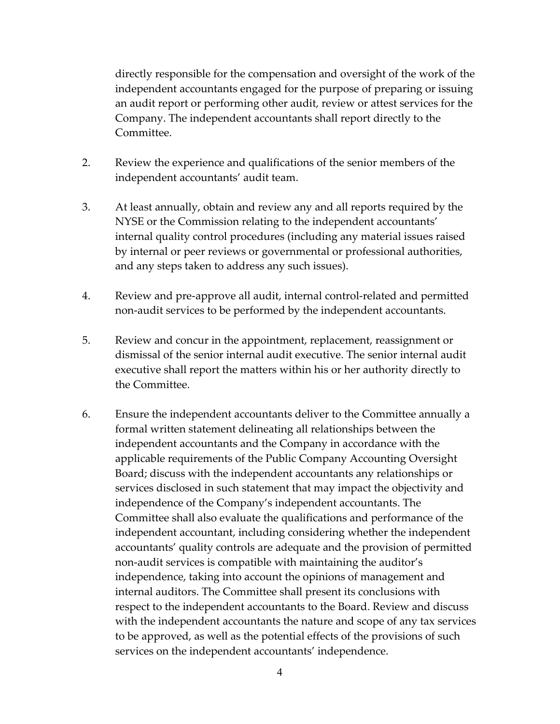directly responsible for the compensation and oversight of the work of the independent accountants engaged for the purpose of preparing or issuing an audit report or performing other audit, review or attest services for the Company. The independent accountants shall report directly to the Committee.

- 2. Review the experience and qualifications of the senior members of the independent accountants' audit team.
- 3. At least annually, obtain and review any and all reports required by the NYSE or the Commission relating to the independent accountants' internal quality control procedures (including any material issues raised by internal or peer reviews or governmental or professional authorities, and any steps taken to address any such issues).
- 4. Review and pre‐approve all audit, internal control‐related and permitted non‐audit services to be performed by the independent accountants.
- 5. Review and concur in the appointment, replacement, reassignment or dismissal of the senior internal audit executive. The senior internal audit executive shall report the matters within his or her authority directly to the Committee.
- 6. Ensure the independent accountants deliver to the Committee annually a formal written statement delineating all relationships between the independent accountants and the Company in accordance with the applicable requirements of the Public Company Accounting Oversight Board; discuss with the independent accountants any relationships or services disclosed in such statement that may impact the objectivity and independence of the Company's independent accountants. The Committee shall also evaluate the qualifications and performance of the independent accountant, including considering whether the independent accountants' quality controls are adequate and the provision of permitted non-audit services is compatible with maintaining the auditor's independence, taking into account the opinions of management and internal auditors. The Committee shall present its conclusions with respect to the independent accountants to the Board. Review and discuss with the independent accountants the nature and scope of any tax services to be approved, as well as the potential effects of the provisions of such services on the independent accountants' independence.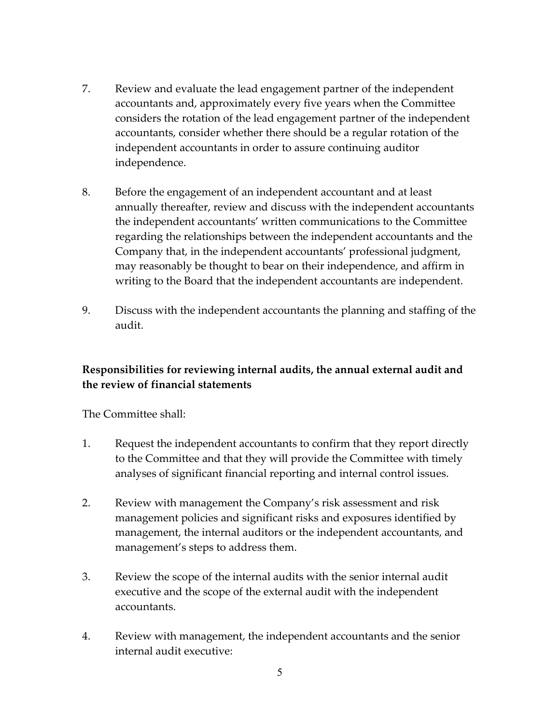- 7. Review and evaluate the lead engagement partner of the independent accountants and, approximately every five years when the Committee considers the rotation of the lead engagement partner of the independent accountants, consider whether there should be a regular rotation of the independent accountants in order to assure continuing auditor independence.
- 8. Before the engagement of an independent accountant and at least annually thereafter, review and discuss with the independent accountants the independent accountants' written communications to the Committee regarding the relationships between the independent accountants and the Company that, in the independent accountants' professional judgment, may reasonably be thought to bear on their independence, and affirm in writing to the Board that the independent accountants are independent.
- 9. Discuss with the independent accountants the planning and staffing of the audit.

# **Responsibilities for reviewing internal audits, the annual external audit and the review of financial statements**

The Committee shall:

- 1. Request the independent accountants to confirm that they report directly to the Committee and that they will provide the Committee with timely analyses of significant financial reporting and internal control issues.
- 2. Review with management the Company's risk assessment and risk management policies and significant risks and exposures identified by management, the internal auditors or the independent accountants, and management's steps to address them.
- 3. Review the scope of the internal audits with the senior internal audit executive and the scope of the external audit with the independent accountants.
- 4. Review with management, the independent accountants and the senior internal audit executive: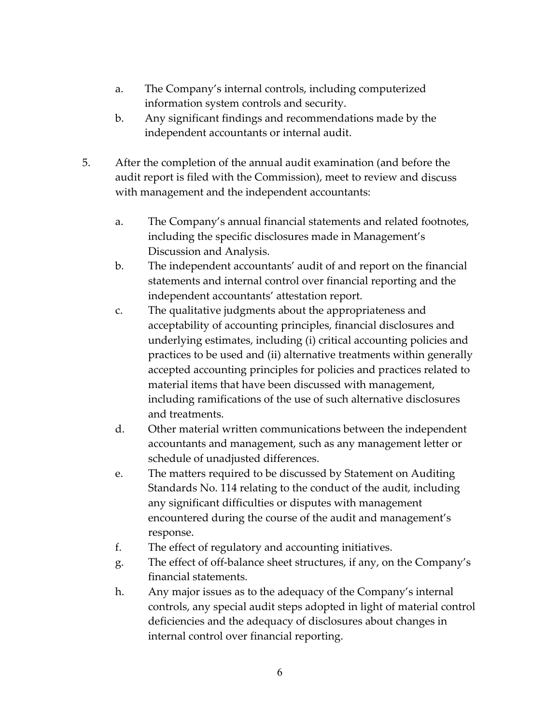- a. The Company's internal controls, including computerized information system controls and security.
- b. Any significant findings and recommendations made by the independent accountants or internal audit.
- 5. After the completion of the annual audit examination (and before the audit report is filed with the Commission), meet to review and discuss with management and the independent accountants:
	- a. The Company's annual financial statements and related footnotes, including the specific disclosures made in Management's Discussion and Analysis.
	- b. The independent accountants' audit of and report on the financial statements and internal control over financial reporting and the independent accountants' attestation report.
	- c. The qualitative judgments about the appropriateness and acceptability of accounting principles, financial disclosures and underlying estimates, including (i) critical accounting policies and practices to be used and (ii) alternative treatments within generally accepted accounting principles for policies and practices related to material items that have been discussed with management, including ramifications of the use of such alternative disclosures and treatments.
	- d. Other material written communications between the independent accountants and management, such as any management letter or schedule of unadjusted differences.
	- e. The matters required to be discussed by Statement on Auditing Standards No. 114 relating to the conduct of the audit, including any significant difficulties or disputes with management encountered during the course of the audit and management's response.
	- f. The effect of regulatory and accounting initiatives.
	- g. The effect of off‐balance sheet structures, if any, on the Company's financial statements.
	- h. Any major issues as to the adequacy of the Company's internal controls, any special audit steps adopted in light of material control deficiencies and the adequacy of disclosures about changes in internal control over financial reporting.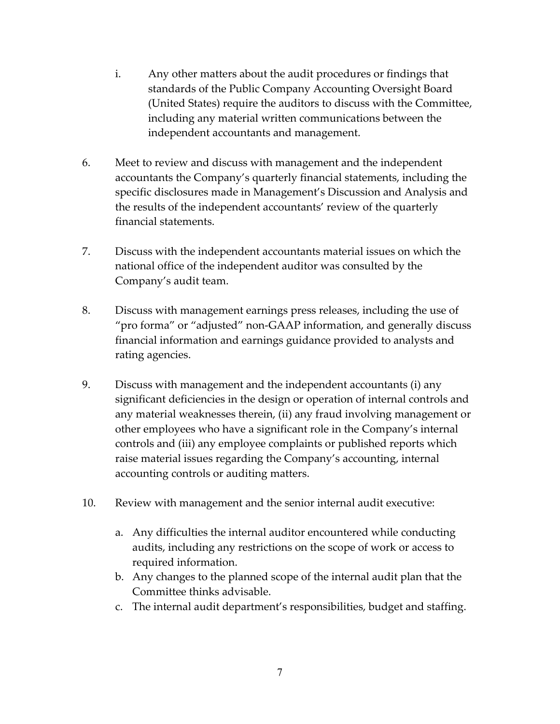- i. Any other matters about the audit procedures or findings that standards of the Public Company Accounting Oversight Board (United States) require the auditors to discuss with the Committee, including any material written communications between the independent accountants and management.
- 6. Meet to review and discuss with management and the independent accountants the Company's quarterly financial statements, including the specific disclosures made in Management's Discussion and Analysis and the results of the independent accountants' review of the quarterly financial statements.
- 7. Discuss with the independent accountants material issues on which the national office of the independent auditor was consulted by the Company's audit team.
- 8. Discuss with management earnings press releases, including the use of "pro forma" or "adjusted" non‐GAAP information, and generally discuss financial information and earnings guidance provided to analysts and rating agencies.
- 9. Discuss with management and the independent accountants (i) any significant deficiencies in the design or operation of internal controls and any material weaknesses therein, (ii) any fraud involving management or other employees who have a significant role in the Company's internal controls and (iii) any employee complaints or published reports which raise material issues regarding the Company's accounting, internal accounting controls or auditing matters.
- 10. Review with management and the senior internal audit executive:
	- a. Any difficulties the internal auditor encountered while conducting audits, including any restrictions on the scope of work or access to required information.
	- b. Any changes to the planned scope of the internal audit plan that the Committee thinks advisable.
	- c. The internal audit department's responsibilities, budget and staffing.